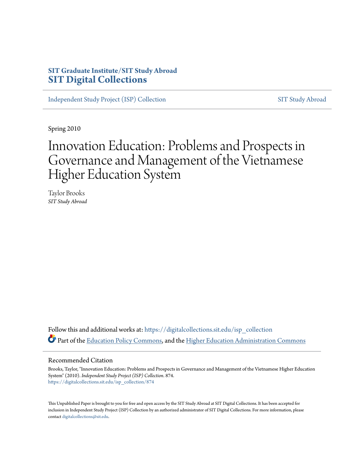# **SIT Graduate Institute/SIT Study Abroad [SIT Digital Collections](https://digitalcollections.sit.edu?utm_source=digitalcollections.sit.edu%2Fisp_collection%2F874&utm_medium=PDF&utm_campaign=PDFCoverPages)**

[Independent Study Project \(ISP\) Collection](https://digitalcollections.sit.edu/isp_collection?utm_source=digitalcollections.sit.edu%2Fisp_collection%2F874&utm_medium=PDF&utm_campaign=PDFCoverPages) [SIT Study Abroad](https://digitalcollections.sit.edu/study_abroad?utm_source=digitalcollections.sit.edu%2Fisp_collection%2F874&utm_medium=PDF&utm_campaign=PDFCoverPages)

Spring 2010

# Innovation Education: Problems and Prospects in Governance and Management of the Vietnamese Higher Education System

Taylor Brooks *SIT Study Abroad*

Follow this and additional works at: [https://digitalcollections.sit.edu/isp\\_collection](https://digitalcollections.sit.edu/isp_collection?utm_source=digitalcollections.sit.edu%2Fisp_collection%2F874&utm_medium=PDF&utm_campaign=PDFCoverPages) Part of the [Education Policy Commons](http://network.bepress.com/hgg/discipline/1026?utm_source=digitalcollections.sit.edu%2Fisp_collection%2F874&utm_medium=PDF&utm_campaign=PDFCoverPages), and the [Higher Education Administration Commons](http://network.bepress.com/hgg/discipline/791?utm_source=digitalcollections.sit.edu%2Fisp_collection%2F874&utm_medium=PDF&utm_campaign=PDFCoverPages)

#### Recommended Citation

Brooks, Taylor, "Innovation Education: Problems and Prospects in Governance and Management of the Vietnamese Higher Education System" (2010). *Independent Study Project (ISP) Collection*. 874. [https://digitalcollections.sit.edu/isp\\_collection/874](https://digitalcollections.sit.edu/isp_collection/874?utm_source=digitalcollections.sit.edu%2Fisp_collection%2F874&utm_medium=PDF&utm_campaign=PDFCoverPages)

This Unpublished Paper is brought to you for free and open access by the SIT Study Abroad at SIT Digital Collections. It has been accepted for inclusion in Independent Study Project (ISP) Collection by an authorized administrator of SIT Digital Collections. For more information, please contact [digitalcollections@sit.edu](mailto:digitalcollections@sit.edu).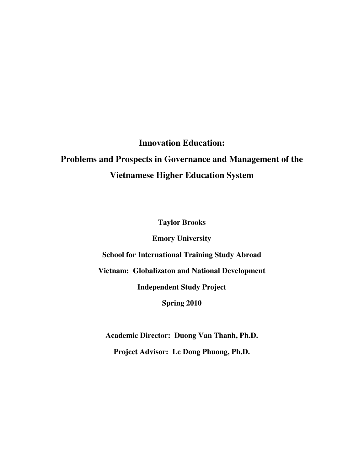# **Innovation Education: Problems and Prospects in Governance and Management of the Vietnamese Higher Education System**

**Taylor Brooks** 

**Emory University** 

**School for International Training Study Abroad** 

**Vietnam: Globalizaton and National Development** 

**Independent Study Project** 

**Spring 2010** 

**Academic Director: Duong Van Thanh, Ph.D.** 

**Project Advisor: Le Dong Phuong, Ph.D.**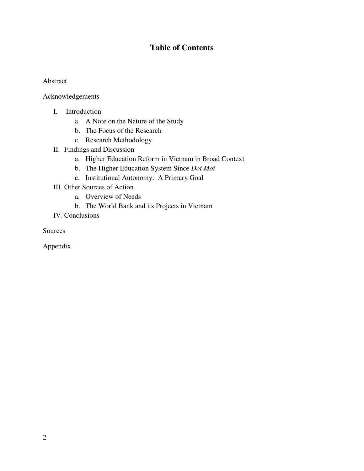# **Table of Contents**

## Abstract

Acknowledgements

- I. Introduction
	- a. A Note on the Nature of the Study
	- b. The Focus of the Research
	- c. Research Methodology
- II. Findings and Discussion
	- a. Higher Education Reform in Vietnam in Broad Context
	- b. The Higher Education System Since *Doi Moi*
	- c. Institutional Autonomy: A Primary Goal
- III. Other Sources of Action
	- a. Overview of Needs
	- b. The World Bank and its Projects in Vietnam
- IV. Conclusions

Sources

Appendix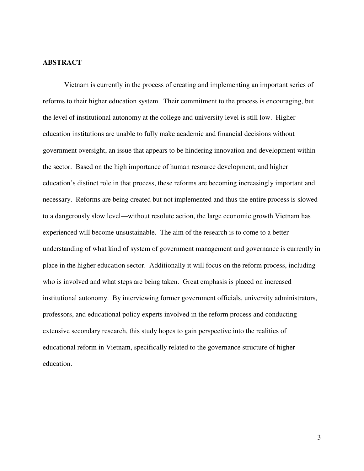## **ABSTRACT**

 Vietnam is currently in the process of creating and implementing an important series of reforms to their higher education system. Their commitment to the process is encouraging, but the level of institutional autonomy at the college and university level is still low. Higher education institutions are unable to fully make academic and financial decisions without government oversight, an issue that appears to be hindering innovation and development within the sector. Based on the high importance of human resource development, and higher education's distinct role in that process, these reforms are becoming increasingly important and necessary. Reforms are being created but not implemented and thus the entire process is slowed to a dangerously slow level—without resolute action, the large economic growth Vietnam has experienced will become unsustainable. The aim of the research is to come to a better understanding of what kind of system of government management and governance is currently in place in the higher education sector. Additionally it will focus on the reform process, including who is involved and what steps are being taken. Great emphasis is placed on increased institutional autonomy. By interviewing former government officials, university administrators, professors, and educational policy experts involved in the reform process and conducting extensive secondary research, this study hopes to gain perspective into the realities of educational reform in Vietnam, specifically related to the governance structure of higher education.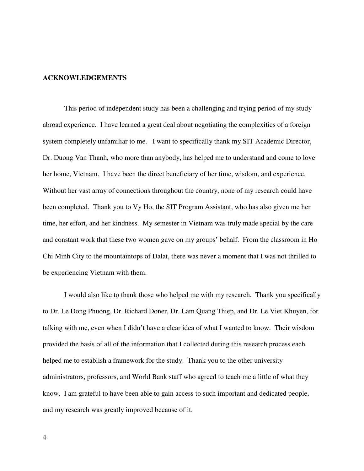### **ACKNOWLEDGEMENTS**

This period of independent study has been a challenging and trying period of my study abroad experience. I have learned a great deal about negotiating the complexities of a foreign system completely unfamiliar to me. I want to specifically thank my SIT Academic Director, Dr. Duong Van Thanh, who more than anybody, has helped me to understand and come to love her home, Vietnam. I have been the direct beneficiary of her time, wisdom, and experience. Without her vast array of connections throughout the country, none of my research could have been completed. Thank you to Vy Ho, the SIT Program Assistant, who has also given me her time, her effort, and her kindness. My semester in Vietnam was truly made special by the care and constant work that these two women gave on my groups' behalf. From the classroom in Ho Chi Minh City to the mountaintops of Dalat, there was never a moment that I was not thrilled to be experiencing Vietnam with them.

 I would also like to thank those who helped me with my research. Thank you specifically to Dr. Le Dong Phuong, Dr. Richard Doner, Dr. Lam Quang Thiep, and Dr. Le Viet Khuyen, for talking with me, even when I didn't have a clear idea of what I wanted to know. Their wisdom provided the basis of all of the information that I collected during this research process each helped me to establish a framework for the study. Thank you to the other university administrators, professors, and World Bank staff who agreed to teach me a little of what they know. I am grateful to have been able to gain access to such important and dedicated people, and my research was greatly improved because of it.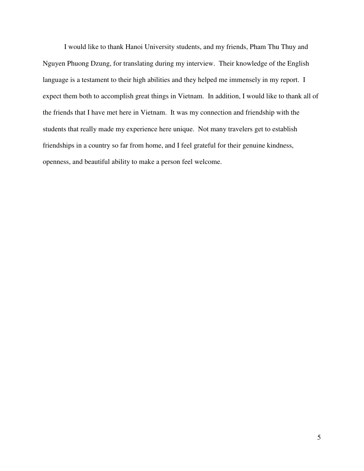I would like to thank Hanoi University students, and my friends, Pham Thu Thuy and Nguyen Phuong Dzung, for translating during my interview. Their knowledge of the English language is a testament to their high abilities and they helped me immensely in my report. I expect them both to accomplish great things in Vietnam. In addition, I would like to thank all of the friends that I have met here in Vietnam. It was my connection and friendship with the students that really made my experience here unique. Not many travelers get to establish friendships in a country so far from home, and I feel grateful for their genuine kindness, openness, and beautiful ability to make a person feel welcome.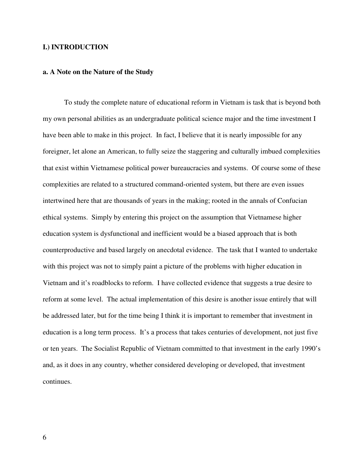### **I.) INTRODUCTION**

#### **a. A Note on the Nature of the Study**

 To study the complete nature of educational reform in Vietnam is task that is beyond both my own personal abilities as an undergraduate political science major and the time investment I have been able to make in this project. In fact, I believe that it is nearly impossible for any foreigner, let alone an American, to fully seize the staggering and culturally imbued complexities that exist within Vietnamese political power bureaucracies and systems. Of course some of these complexities are related to a structured command-oriented system, but there are even issues intertwined here that are thousands of years in the making; rooted in the annals of Confucian ethical systems. Simply by entering this project on the assumption that Vietnamese higher education system is dysfunctional and inefficient would be a biased approach that is both counterproductive and based largely on anecdotal evidence. The task that I wanted to undertake with this project was not to simply paint a picture of the problems with higher education in Vietnam and it's roadblocks to reform. I have collected evidence that suggests a true desire to reform at some level. The actual implementation of this desire is another issue entirely that will be addressed later, but for the time being I think it is important to remember that investment in education is a long term process. It's a process that takes centuries of development, not just five or ten years. The Socialist Republic of Vietnam committed to that investment in the early 1990's and, as it does in any country, whether considered developing or developed, that investment continues.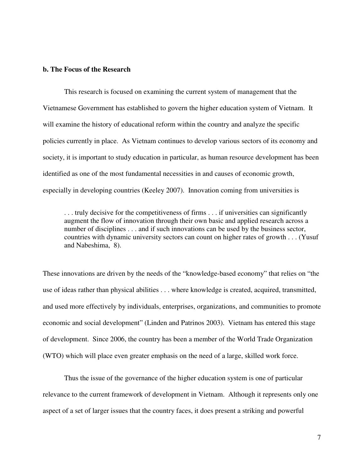## **b. The Focus of the Research**

This research is focused on examining the current system of management that the Vietnamese Government has established to govern the higher education system of Vietnam. It will examine the history of educational reform within the country and analyze the specific policies currently in place. As Vietnam continues to develop various sectors of its economy and society, it is important to study education in particular, as human resource development has been identified as one of the most fundamental necessities in and causes of economic growth, especially in developing countries (Keeley 2007). Innovation coming from universities is

. . . truly decisive for the competitiveness of firms . . . if universities can significantly augment the flow of innovation through their own basic and applied research across a number of disciplines . . . and if such innovations can be used by the business sector, countries with dynamic university sectors can count on higher rates of growth . . . (Yusuf and Nabeshima, 8).

These innovations are driven by the needs of the "knowledge-based economy" that relies on "the use of ideas rather than physical abilities . . . where knowledge is created, acquired, transmitted, and used more effectively by individuals, enterprises, organizations, and communities to promote economic and social development" (Linden and Patrinos 2003). Vietnam has entered this stage of development. Since 2006, the country has been a member of the World Trade Organization (WTO) which will place even greater emphasis on the need of a large, skilled work force.

 Thus the issue of the governance of the higher education system is one of particular relevance to the current framework of development in Vietnam. Although it represents only one aspect of a set of larger issues that the country faces, it does present a striking and powerful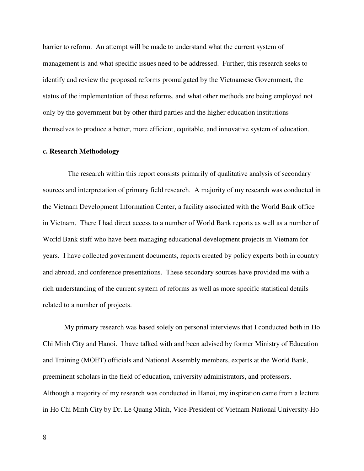barrier to reform. An attempt will be made to understand what the current system of management is and what specific issues need to be addressed. Further, this research seeks to identify and review the proposed reforms promulgated by the Vietnamese Government, the status of the implementation of these reforms, and what other methods are being employed not only by the government but by other third parties and the higher education institutions themselves to produce a better, more efficient, equitable, and innovative system of education.

#### **c. Research Methodology**

 The research within this report consists primarily of qualitative analysis of secondary sources and interpretation of primary field research. A majority of my research was conducted in the Vietnam Development Information Center, a facility associated with the World Bank office in Vietnam. There I had direct access to a number of World Bank reports as well as a number of World Bank staff who have been managing educational development projects in Vietnam for years. I have collected government documents, reports created by policy experts both in country and abroad, and conference presentations. These secondary sources have provided me with a rich understanding of the current system of reforms as well as more specific statistical details related to a number of projects.

 My primary research was based solely on personal interviews that I conducted both in Ho Chi Minh City and Hanoi. I have talked with and been advised by former Ministry of Education and Training (MOET) officials and National Assembly members, experts at the World Bank, preeminent scholars in the field of education, university administrators, and professors. Although a majority of my research was conducted in Hanoi, my inspiration came from a lecture in Ho Chi Minh City by Dr. Le Quang Minh, Vice-President of Vietnam National University-Ho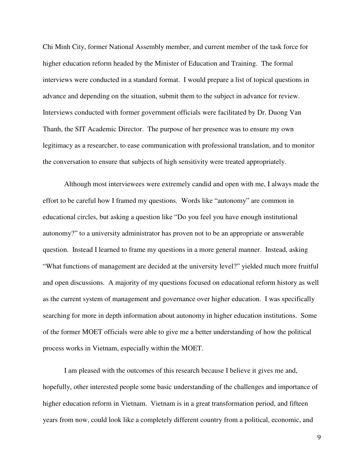Chi Minh City, former National Assembly member, and current member of the task force for higher education reform headed by the Minister of Education and Training. The formal interviews were conducted in a standard format. I would prepare a list of topical questions in advance and depending on the situation, submit them to the subject in advance for review. Interviews conducted with former government officials were facilitated by Dr. Duong Van Thanh, the SIT Academic Director. The purpose of her presence was to ensure my own legitimacy as a researcher, to ease communication with professional translation, and to monitor the conversation to ensure that subjects of high sensitivity were treated appropriately.

Although most interviewees were extremely candid and open with me, I always made the effort to be careful how I framed my questions. Words like "autonomy" are common in educational circles, but asking a question like "Do you feel you have enough institutional autonomy?" to a university administrator has proven not to be an appropriate or answerable question. Instead I learned to frame my questions in a more general manner. Instead, asking "What functions of management are decided at the university level?" yielded much more fruitful and open discussions. A majority of my questions focused on educational reform history as well as the current system of management and governance over higher education. I was specifically searching for more in depth information about autonomy in higher education institutions. Some of the former MOET officials were able to give me a better understanding of how the political process works in Vietnam, especially within the MOET.

 I am pleased with the outcomes of this research because I believe it gives me and, hopefully, other interested people some basic understanding of the challenges and importance of higher education reform in Vietnam. Vietnam is in a great transformation period, and fifteen years from now, could look like a completely different country from a political, economic, and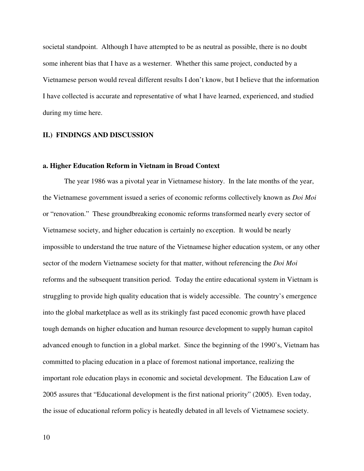societal standpoint. Although I have attempted to be as neutral as possible, there is no doubt some inherent bias that I have as a westerner. Whether this same project, conducted by a Vietnamese person would reveal different results I don't know, but I believe that the information I have collected is accurate and representative of what I have learned, experienced, and studied during my time here.

#### **II.) FINDINGS AND DISCUSSION**

#### **a. Higher Education Reform in Vietnam in Broad Context**

 The year 1986 was a pivotal year in Vietnamese history. In the late months of the year, the Vietnamese government issued a series of economic reforms collectively known as *Doi Moi* or "renovation." These groundbreaking economic reforms transformed nearly every sector of Vietnamese society, and higher education is certainly no exception. It would be nearly impossible to understand the true nature of the Vietnamese higher education system, or any other sector of the modern Vietnamese society for that matter, without referencing the *Doi Moi* reforms and the subsequent transition period. Today the entire educational system in Vietnam is struggling to provide high quality education that is widely accessible. The country's emergence into the global marketplace as well as its strikingly fast paced economic growth have placed tough demands on higher education and human resource development to supply human capitol advanced enough to function in a global market. Since the beginning of the 1990's, Vietnam has committed to placing education in a place of foremost national importance, realizing the important role education plays in economic and societal development. The Education Law of 2005 assures that "Educational development is the first national priority" (2005). Even today, the issue of educational reform policy is heatedly debated in all levels of Vietnamese society.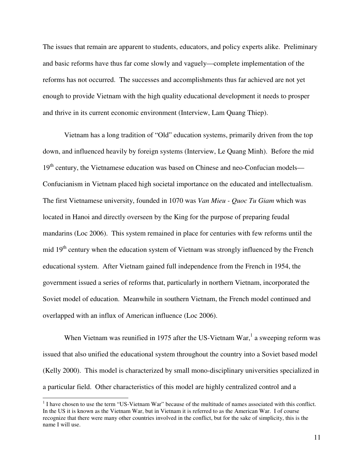The issues that remain are apparent to students, educators, and policy experts alike. Preliminary and basic reforms have thus far come slowly and vaguely—complete implementation of the reforms has not occurred. The successes and accomplishments thus far achieved are not yet enough to provide Vietnam with the high quality educational development it needs to prosper and thrive in its current economic environment (Interview, Lam Quang Thiep).

 Vietnam has a long tradition of "Old" education systems, primarily driven from the top down, and influenced heavily by foreign systems (Interview, Le Quang Minh). Before the mid 19<sup>th</sup> century, the Vietnamese education was based on Chinese and neo-Confucian models— Confucianism in Vietnam placed high societal importance on the educated and intellectualism. The first Vietnamese university, founded in 1070 was *Van Mieu - Quoc Tu Giam* which was located in Hanoi and directly overseen by the King for the purpose of preparing feudal mandarins (Loc 2006). This system remained in place for centuries with few reforms until the mid 19<sup>th</sup> century when the education system of Vietnam was strongly influenced by the French educational system. After Vietnam gained full independence from the French in 1954, the government issued a series of reforms that, particularly in northern Vietnam, incorporated the Soviet model of education. Meanwhile in southern Vietnam, the French model continued and overlapped with an influx of American influence (Loc 2006).

When Vietnam was reunified in 1975 after the US-Vietnam War,<sup>1</sup> a sweeping reform was issued that also unified the educational system throughout the country into a Soviet based model (Kelly 2000). This model is characterized by small mono-disciplinary universities specialized in a particular field. Other characteristics of this model are highly centralized control and a

 $\overline{a}$ 

 $<sup>1</sup>$  I have chosen to use the term "US-Vietnam War" because of the multitude of names associated with this conflict.</sup> In the US it is known as the Vietnam War, but in Vietnam it is referred to as the American War. I of course recognize that there were many other countries involved in the conflict, but for the sake of simplicity, this is the name I will use.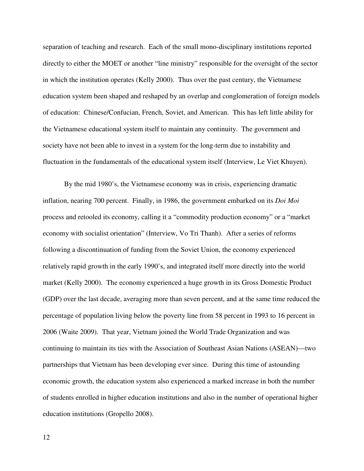separation of teaching and research. Each of the small mono-disciplinary institutions reported directly to either the MOET or another "line ministry" responsible for the oversight of the sector in which the institution operates (Kelly 2000). Thus over the past century, the Vietnamese education system been shaped and reshaped by an overlap and conglomeration of foreign models of education: Chinese/Confucian, French, Soviet, and American. This has left little ability for the Vietnamese educational system itself to maintain any continuity. The government and society have not been able to invest in a system for the long-term due to instability and fluctuation in the fundamentals of the educational system itself (Interview, Le Viet Khuyen).

By the mid 1980's, the Vietnamese economy was in crisis, experiencing dramatic inflation, nearing 700 percent. Finally, in 1986, the government embarked on its *Doi Moi* process and retooled its economy, calling it a "commodity production economy" or a "market economy with socialist orientation" (Interview, Vo Tri Thanh). After a series of reforms following a discontinuation of funding from the Soviet Union, the economy experienced relatively rapid growth in the early 1990's, and integrated itself more directly into the world market (Kelly 2000). The economy experienced a huge growth in its Gross Domestic Product (GDP) over the last decade, averaging more than seven percent, and at the same time reduced the percentage of population living below the poverty line from 58 percent in 1993 to 16 percent in 2006 (Waite 2009). That year, Vietnam joined the World Trade Organization and was continuing to maintain its ties with the Association of Southeast Asian Nations (ASEAN)—two partnerships that Vietnam has been developing ever since. During this time of astounding economic growth, the education system also experienced a marked increase in both the number of students enrolled in higher education institutions and also in the number of operational higher education institutions (Gropello 2008).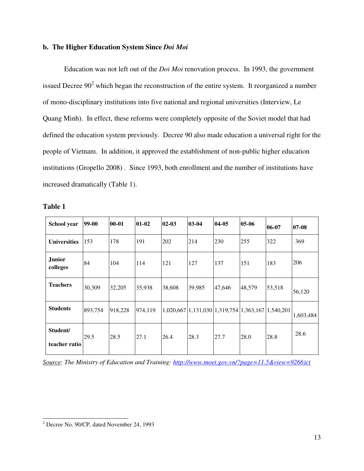## **b. The Higher Education System Since** *Doi Moi*

Education was not left out of the *Doi Moi* renovation process. In 1993, the government issued Decree  $90<sup>2</sup>$  which began the reconstruction of the entire system. It reorganized a number of mono-disciplinary institutions into five national and regional universities (Interview, Le Quang Minh). In effect, these reforms were completely opposite of the Soviet model that had defined the education system previously. Decree 90 also made education a universal right for the people of Vietnam. In addition, it approved the establishment of non-public higher education institutions (Gropello 2008) . Since 1993, both enrollment and the number of institutions have increased dramatically (Table 1).

| וח<br>H<br>10<br>н |  |
|--------------------|--|
|                    |  |

 $\overline{a}$ 

| School year               | 99-00   | $00 - 01$ | $01 - 02$ | $02-03$ | 03-04  | 04-05                                                               | 05-06  | 06-07  | 07-08     |
|---------------------------|---------|-----------|-----------|---------|--------|---------------------------------------------------------------------|--------|--------|-----------|
| <b>Universities</b>       | 153     | 178       | 191       | 202     | 214    | 230                                                                 | 255    | 322    | 369       |
| <b>Junior</b><br>colleges | 84      | 104       | 114       | 121     | 127    | 137                                                                 | 151    | 183    | 206       |
| <b>Teachers</b>           | 30,309  | 32,205    | 35,938    | 38,608  | 39,985 | 47,646                                                              | 48,579 | 53,518 | 56,120    |
| <b>Students</b>           | 893,754 | 918,228   | 974,119   |         |        | $1,020,667$   1, 131, 030   1, 319, 754   1, 363, 167   1, 540, 201 |        |        | 1,603,484 |
| Student/<br>teacher ratio | 29.5    | 28.5      | 27.1      | 26.4    | 28.3   | 27.7                                                                | 28.0   | 28.8   | 28.6      |

*Source*: *The Ministry of Education and Training: http://www.moet.gov.vn/?page=11.5&view=9266)ct* 

 $2^2$  Decree No. 90/CP, dated November 24, 1993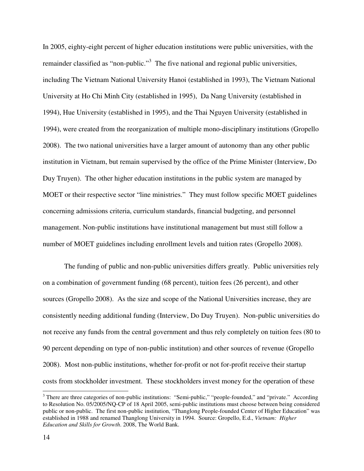In 2005, eighty-eight percent of higher education institutions were public universities, with the remainder classified as "non-public."<sup>3</sup> The five national and regional public universities, including The Vietnam National University Hanoi (established in 1993), The Vietnam National University at Ho Chi Minh City (established in 1995), Da Nang University (established in 1994), Hue University (established in 1995), and the Thai Nguyen University (established in 1994), were created from the reorganization of multiple mono-disciplinary institutions (Gropello 2008). The two national universities have a larger amount of autonomy than any other public institution in Vietnam, but remain supervised by the office of the Prime Minister (Interview, Do Duy Truyen). The other higher education institutions in the public system are managed by MOET or their respective sector "line ministries." They must follow specific MOET guidelines concerning admissions criteria, curriculum standards, financial budgeting, and personnel management. Non-public institutions have institutional management but must still follow a number of MOET guidelines including enrollment levels and tuition rates (Gropello 2008).

The funding of public and non-public universities differs greatly. Public universities rely on a combination of government funding (68 percent), tuition fees (26 percent), and other sources (Gropello 2008). As the size and scope of the National Universities increase, they are consistently needing additional funding (Interview, Do Duy Truyen). Non-public universities do not receive any funds from the central government and thus rely completely on tuition fees (80 to 90 percent depending on type of non-public institution) and other sources of revenue (Gropello 2008). Most non-public institutions, whether for-profit or not for-profit receive their startup costs from stockholder investment. These stockholders invest money for the operation of these

 $\overline{a}$ 

 $3$  There are three categories of non-public institutions: "Semi-public," "people-founded," and "private." According to Resolution No. 05/2005/NQ-CP of 18 April 2005, semi-public institutions must choose between being considered public or non-public. The first non-public institution, "Thanglong People-founded Center of Higher Education" was established in 1988 and renamed Thanglong University in 1994. Source: Gropello, E.d., *Vietnam: Higher Education and Skills for Growth*. 2008, The World Bank.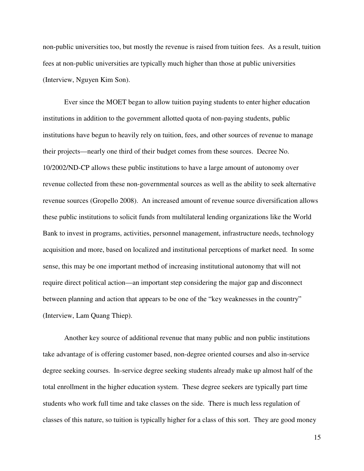non-public universities too, but mostly the revenue is raised from tuition fees. As a result, tuition fees at non-public universities are typically much higher than those at public universities (Interview, Nguyen Kim Son).

Ever since the MOET began to allow tuition paying students to enter higher education institutions in addition to the government allotted quota of non-paying students, public institutions have begun to heavily rely on tuition, fees, and other sources of revenue to manage their projects—nearly one third of their budget comes from these sources. Decree No. 10/2002/ND-CP allows these public institutions to have a large amount of autonomy over revenue collected from these non-governmental sources as well as the ability to seek alternative revenue sources (Gropello 2008). An increased amount of revenue source diversification allows these public institutions to solicit funds from multilateral lending organizations like the World Bank to invest in programs, activities, personnel management, infrastructure needs, technology acquisition and more, based on localized and institutional perceptions of market need. In some sense, this may be one important method of increasing institutional autonomy that will not require direct political action—an important step considering the major gap and disconnect between planning and action that appears to be one of the "key weaknesses in the country" (Interview, Lam Quang Thiep).

Another key source of additional revenue that many public and non public institutions take advantage of is offering customer based, non-degree oriented courses and also in-service degree seeking courses. In-service degree seeking students already make up almost half of the total enrollment in the higher education system. These degree seekers are typically part time students who work full time and take classes on the side. There is much less regulation of classes of this nature, so tuition is typically higher for a class of this sort. They are good money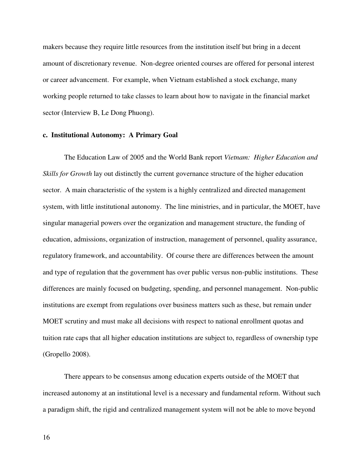makers because they require little resources from the institution itself but bring in a decent amount of discretionary revenue. Non-degree oriented courses are offered for personal interest or career advancement. For example, when Vietnam established a stock exchange, many working people returned to take classes to learn about how to navigate in the financial market sector (Interview B, Le Dong Phuong).

#### **c. Institutional Autonomy: A Primary Goal**

The Education Law of 2005 and the World Bank report *Vietnam: Higher Education and Skills for Growth* lay out distinctly the current governance structure of the higher education sector. A main characteristic of the system is a highly centralized and directed management system, with little institutional autonomy. The line ministries, and in particular, the MOET, have singular managerial powers over the organization and management structure, the funding of education, admissions, organization of instruction, management of personnel, quality assurance, regulatory framework, and accountability. Of course there are differences between the amount and type of regulation that the government has over public versus non-public institutions. These differences are mainly focused on budgeting, spending, and personnel management. Non-public institutions are exempt from regulations over business matters such as these, but remain under MOET scrutiny and must make all decisions with respect to national enrollment quotas and tuition rate caps that all higher education institutions are subject to, regardless of ownership type (Gropello 2008).

There appears to be consensus among education experts outside of the MOET that increased autonomy at an institutional level is a necessary and fundamental reform. Without such a paradigm shift, the rigid and centralized management system will not be able to move beyond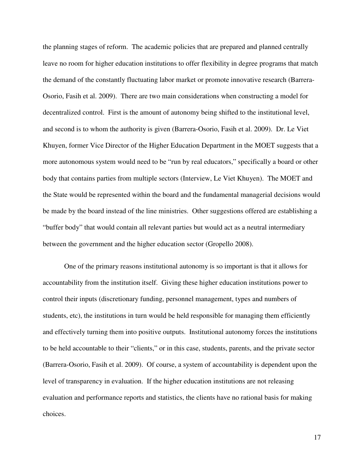the planning stages of reform. The academic policies that are prepared and planned centrally leave no room for higher education institutions to offer flexibility in degree programs that match the demand of the constantly fluctuating labor market or promote innovative research (Barrera-Osorio, Fasih et al. 2009). There are two main considerations when constructing a model for decentralized control. First is the amount of autonomy being shifted to the institutional level, and second is to whom the authority is given (Barrera-Osorio, Fasih et al. 2009). Dr. Le Viet Khuyen, former Vice Director of the Higher Education Department in the MOET suggests that a more autonomous system would need to be "run by real educators," specifically a board or other body that contains parties from multiple sectors (Interview, Le Viet Khuyen). The MOET and the State would be represented within the board and the fundamental managerial decisions would be made by the board instead of the line ministries. Other suggestions offered are establishing a "buffer body" that would contain all relevant parties but would act as a neutral intermediary between the government and the higher education sector (Gropello 2008).

One of the primary reasons institutional autonomy is so important is that it allows for accountability from the institution itself. Giving these higher education institutions power to control their inputs (discretionary funding, personnel management, types and numbers of students, etc), the institutions in turn would be held responsible for managing them efficiently and effectively turning them into positive outputs. Institutional autonomy forces the institutions to be held accountable to their "clients," or in this case, students, parents, and the private sector (Barrera-Osorio, Fasih et al. 2009). Of course, a system of accountability is dependent upon the level of transparency in evaluation. If the higher education institutions are not releasing evaluation and performance reports and statistics, the clients have no rational basis for making choices.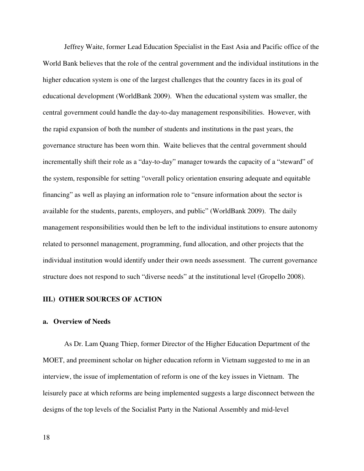Jeffrey Waite, former Lead Education Specialist in the East Asia and Pacific office of the World Bank believes that the role of the central government and the individual institutions in the higher education system is one of the largest challenges that the country faces in its goal of educational development (WorldBank 2009). When the educational system was smaller, the central government could handle the day-to-day management responsibilities. However, with the rapid expansion of both the number of students and institutions in the past years, the governance structure has been worn thin. Waite believes that the central government should incrementally shift their role as a "day-to-day" manager towards the capacity of a "steward" of the system, responsible for setting "overall policy orientation ensuring adequate and equitable financing" as well as playing an information role to "ensure information about the sector is available for the students, parents, employers, and public" (WorldBank 2009). The daily management responsibilities would then be left to the individual institutions to ensure autonomy related to personnel management, programming, fund allocation, and other projects that the individual institution would identify under their own needs assessment. The current governance structure does not respond to such "diverse needs" at the institutional level (Gropello 2008).

## **III.) OTHER SOURCES OF ACTION**

#### **a. Overview of Needs**

As Dr. Lam Quang Thiep, former Director of the Higher Education Department of the MOET, and preeminent scholar on higher education reform in Vietnam suggested to me in an interview, the issue of implementation of reform is one of the key issues in Vietnam. The leisurely pace at which reforms are being implemented suggests a large disconnect between the designs of the top levels of the Socialist Party in the National Assembly and mid-level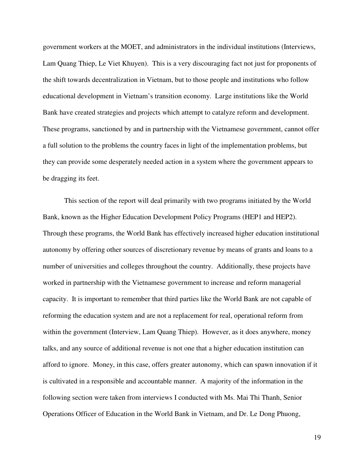government workers at the MOET, and administrators in the individual institutions (Interviews, Lam Quang Thiep, Le Viet Khuyen). This is a very discouraging fact not just for proponents of the shift towards decentralization in Vietnam, but to those people and institutions who follow educational development in Vietnam's transition economy. Large institutions like the World Bank have created strategies and projects which attempt to catalyze reform and development. These programs, sanctioned by and in partnership with the Vietnamese government, cannot offer a full solution to the problems the country faces in light of the implementation problems, but they can provide some desperately needed action in a system where the government appears to be dragging its feet.

This section of the report will deal primarily with two programs initiated by the World Bank, known as the Higher Education Development Policy Programs (HEP1 and HEP2). Through these programs, the World Bank has effectively increased higher education institutional autonomy by offering other sources of discretionary revenue by means of grants and loans to a number of universities and colleges throughout the country. Additionally, these projects have worked in partnership with the Vietnamese government to increase and reform managerial capacity. It is important to remember that third parties like the World Bank are not capable of reforming the education system and are not a replacement for real, operational reform from within the government (Interview, Lam Quang Thiep). However, as it does anywhere, money talks, and any source of additional revenue is not one that a higher education institution can afford to ignore. Money, in this case, offers greater autonomy, which can spawn innovation if it is cultivated in a responsible and accountable manner. A majority of the information in the following section were taken from interviews I conducted with Ms. Mai Thi Thanh, Senior Operations Officer of Education in the World Bank in Vietnam, and Dr. Le Dong Phuong,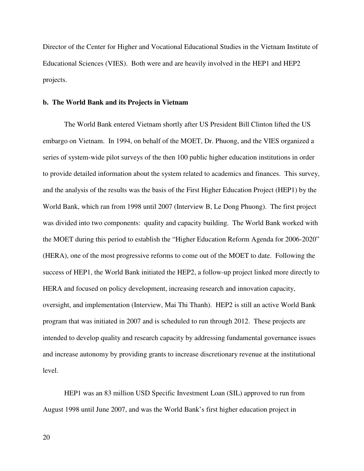Director of the Center for Higher and Vocational Educational Studies in the Vietnam Institute of Educational Sciences (VIES). Both were and are heavily involved in the HEP1 and HEP2 projects.

#### **b. The World Bank and its Projects in Vietnam**

The World Bank entered Vietnam shortly after US President Bill Clinton lifted the US embargo on Vietnam. In 1994, on behalf of the MOET, Dr. Phuong, and the VIES organized a series of system-wide pilot surveys of the then 100 public higher education institutions in order to provide detailed information about the system related to academics and finances. This survey, and the analysis of the results was the basis of the First Higher Education Project (HEP1) by the World Bank, which ran from 1998 until 2007 (Interview B, Le Dong Phuong). The first project was divided into two components: quality and capacity building. The World Bank worked with the MOET during this period to establish the "Higher Education Reform Agenda for 2006-2020" (HERA), one of the most progressive reforms to come out of the MOET to date. Following the success of HEP1, the World Bank initiated the HEP2, a follow-up project linked more directly to HERA and focused on policy development, increasing research and innovation capacity, oversight, and implementation (Interview, Mai Thi Thanh). HEP2 is still an active World Bank program that was initiated in 2007 and is scheduled to run through 2012. These projects are intended to develop quality and research capacity by addressing fundamental governance issues and increase autonomy by providing grants to increase discretionary revenue at the institutional level.

HEP1 was an 83 million USD Specific Investment Loan (SIL) approved to run from August 1998 until June 2007, and was the World Bank's first higher education project in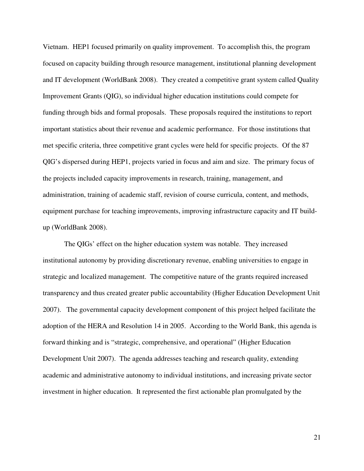Vietnam. HEP1 focused primarily on quality improvement. To accomplish this, the program focused on capacity building through resource management, institutional planning development and IT development (WorldBank 2008). They created a competitive grant system called Quality Improvement Grants (QIG), so individual higher education institutions could compete for funding through bids and formal proposals. These proposals required the institutions to report important statistics about their revenue and academic performance. For those institutions that met specific criteria, three competitive grant cycles were held for specific projects. Of the 87 QIG's dispersed during HEP1, projects varied in focus and aim and size. The primary focus of the projects included capacity improvements in research, training, management, and administration, training of academic staff, revision of course curricula, content, and methods, equipment purchase for teaching improvements, improving infrastructure capacity and IT buildup (WorldBank 2008).

The QIGs' effect on the higher education system was notable. They increased institutional autonomy by providing discretionary revenue, enabling universities to engage in strategic and localized management. The competitive nature of the grants required increased transparency and thus created greater public accountability (Higher Education Development Unit 2007). The governmental capacity development component of this project helped facilitate the adoption of the HERA and Resolution 14 in 2005. According to the World Bank, this agenda is forward thinking and is "strategic, comprehensive, and operational" (Higher Education Development Unit 2007). The agenda addresses teaching and research quality, extending academic and administrative autonomy to individual institutions, and increasing private sector investment in higher education. It represented the first actionable plan promulgated by the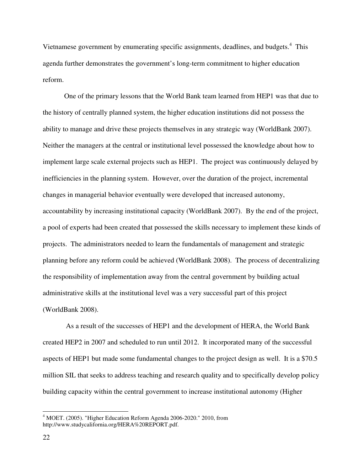Vietnamese government by enumerating specific assignments, deadlines, and budgets.<sup>4</sup> This agenda further demonstrates the government's long-term commitment to higher education reform.

One of the primary lessons that the World Bank team learned from HEP1 was that due to the history of centrally planned system, the higher education institutions did not possess the ability to manage and drive these projects themselves in any strategic way (WorldBank 2007). Neither the managers at the central or institutional level possessed the knowledge about how to implement large scale external projects such as HEP1. The project was continuously delayed by inefficiencies in the planning system. However, over the duration of the project, incremental changes in managerial behavior eventually were developed that increased autonomy, accountability by increasing institutional capacity (WorldBank 2007). By the end of the project, a pool of experts had been created that possessed the skills necessary to implement these kinds of projects. The administrators needed to learn the fundamentals of management and strategic planning before any reform could be achieved (WorldBank 2008). The process of decentralizing the responsibility of implementation away from the central government by building actual administrative skills at the institutional level was a very successful part of this project (WorldBank 2008).

 As a result of the successes of HEP1 and the development of HERA, the World Bank created HEP2 in 2007 and scheduled to run until 2012. It incorporated many of the successful aspects of HEP1 but made some fundamental changes to the project design as well. It is a \$70.5 million SIL that seeks to address teaching and research quality and to specifically develop policy building capacity within the central government to increase institutional autonomy (Higher

<sup>&</sup>lt;sup>4</sup> MOET. (2005). "Higher Education Reform Agenda 2006-2020." 2010, from http://www.studycalifornia.org/HERA%20REPORT.pdf.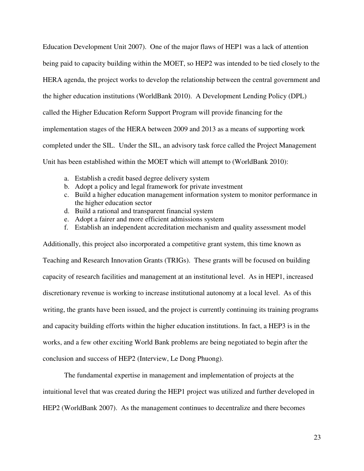Education Development Unit 2007). One of the major flaws of HEP1 was a lack of attention being paid to capacity building within the MOET, so HEP2 was intended to be tied closely to the HERA agenda, the project works to develop the relationship between the central government and the higher education institutions (WorldBank 2010). A Development Lending Policy (DPL) called the Higher Education Reform Support Program will provide financing for the implementation stages of the HERA between 2009 and 2013 as a means of supporting work completed under the SIL. Under the SIL, an advisory task force called the Project Management Unit has been established within the MOET which will attempt to (WorldBank 2010):

- a. Establish a credit based degree delivery system
- b. Adopt a policy and legal framework for private investment
- c. Build a higher education management information system to monitor performance in the higher education sector
- d. Build a rational and transparent financial system
- e. Adopt a fairer and more efficient admissions system
- f. Establish an independent accreditation mechanism and quality assessment model

Additionally, this project also incorporated a competitive grant system, this time known as Teaching and Research Innovation Grants (TRIGs). These grants will be focused on building capacity of research facilities and management at an institutional level. As in HEP1, increased discretionary revenue is working to increase institutional autonomy at a local level. As of this writing, the grants have been issued, and the project is currently continuing its training programs and capacity building efforts within the higher education institutions. In fact, a HEP3 is in the works, and a few other exciting World Bank problems are being negotiated to begin after the conclusion and success of HEP2 (Interview, Le Dong Phuong).

 The fundamental expertise in management and implementation of projects at the intuitional level that was created during the HEP1 project was utilized and further developed in HEP2 (WorldBank 2007). As the management continues to decentralize and there becomes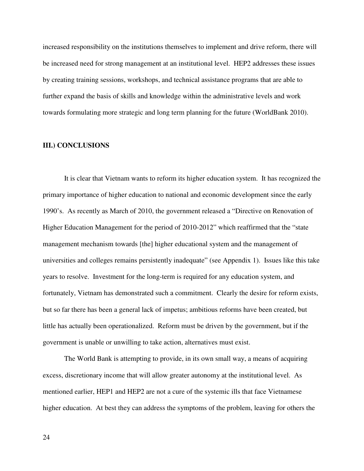increased responsibility on the institutions themselves to implement and drive reform, there will be increased need for strong management at an institutional level. HEP2 addresses these issues by creating training sessions, workshops, and technical assistance programs that are able to further expand the basis of skills and knowledge within the administrative levels and work towards formulating more strategic and long term planning for the future (WorldBank 2010).

#### **III.) CONCLUSIONS**

It is clear that Vietnam wants to reform its higher education system. It has recognized the primary importance of higher education to national and economic development since the early 1990's. As recently as March of 2010, the government released a "Directive on Renovation of Higher Education Management for the period of 2010-2012" which reaffirmed that the "state" management mechanism towards [the] higher educational system and the management of universities and colleges remains persistently inadequate" (see Appendix 1). Issues like this take years to resolve. Investment for the long-term is required for any education system, and fortunately, Vietnam has demonstrated such a commitment. Clearly the desire for reform exists, but so far there has been a general lack of impetus; ambitious reforms have been created, but little has actually been operationalized. Reform must be driven by the government, but if the government is unable or unwilling to take action, alternatives must exist.

The World Bank is attempting to provide, in its own small way, a means of acquiring excess, discretionary income that will allow greater autonomy at the institutional level. As mentioned earlier, HEP1 and HEP2 are not a cure of the systemic ills that face Vietnamese higher education. At best they can address the symptoms of the problem, leaving for others the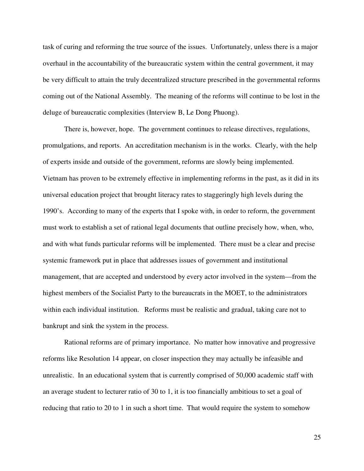task of curing and reforming the true source of the issues. Unfortunately, unless there is a major overhaul in the accountability of the bureaucratic system within the central government, it may be very difficult to attain the truly decentralized structure prescribed in the governmental reforms coming out of the National Assembly. The meaning of the reforms will continue to be lost in the deluge of bureaucratic complexities (Interview B, Le Dong Phuong).

 There is, however, hope. The government continues to release directives, regulations, promulgations, and reports. An accreditation mechanism is in the works. Clearly, with the help of experts inside and outside of the government, reforms are slowly being implemented. Vietnam has proven to be extremely effective in implementing reforms in the past, as it did in its universal education project that brought literacy rates to staggeringly high levels during the 1990's. According to many of the experts that I spoke with, in order to reform, the government must work to establish a set of rational legal documents that outline precisely how, when, who, and with what funds particular reforms will be implemented. There must be a clear and precise systemic framework put in place that addresses issues of government and institutional management, that are accepted and understood by every actor involved in the system—from the highest members of the Socialist Party to the bureaucrats in the MOET, to the administrators within each individual institution. Reforms must be realistic and gradual, taking care not to bankrupt and sink the system in the process.

 Rational reforms are of primary importance. No matter how innovative and progressive reforms like Resolution 14 appear, on closer inspection they may actually be infeasible and unrealistic. In an educational system that is currently comprised of 50,000 academic staff with an average student to lecturer ratio of 30 to 1, it is too financially ambitious to set a goal of reducing that ratio to 20 to 1 in such a short time. That would require the system to somehow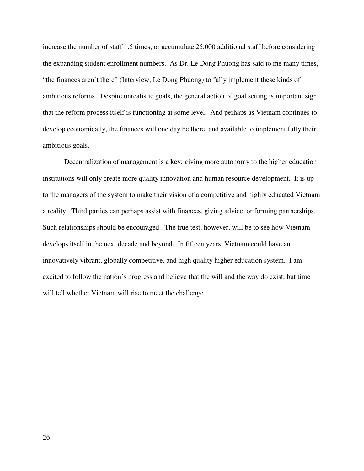increase the number of staff 1.5 times, or accumulate 25,000 additional staff before considering the expanding student enrollment numbers. As Dr. Le Dong Phuong has said to me many times, "the finances aren't there" (Interview, Le Dong Phuong) to fully implement these kinds of ambitious reforms. Despite unrealistic goals, the general action of goal setting is important sign that the reform process itself is functioning at some level. And perhaps as Vietnam continues to develop economically, the finances will one day be there, and available to implement fully their ambitious goals.

Decentralization of management is a key; giving more autonomy to the higher education institutions will only create more quality innovation and human resource development. It is up to the managers of the system to make their vision of a competitive and highly educated Vietnam a reality. Third parties can perhaps assist with finances, giving advice, or forming partnerships. Such relationships should be encouraged. The true test, however, will be to see how Vietnam develops itself in the next decade and beyond. In fifteen years, Vietnam could have an innovatively vibrant, globally competitive, and high quality higher education system. I am excited to follow the nation's progress and believe that the will and the way do exist, but time will tell whether Vietnam will rise to meet the challenge.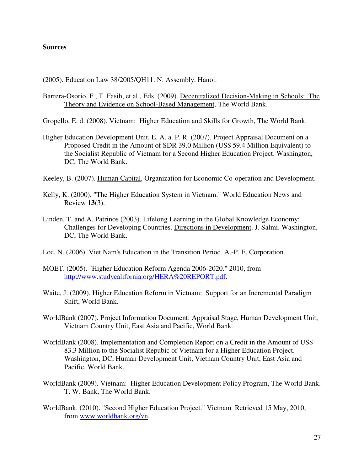## **Sources**

(2005). Education Law 38/2005/QH11. N. Assembly. Hanoi.

- Barrera-Osorio, F., T. Fasih, et al., Eds. (2009). Decentralized Decision-Making in Schools: The Theory and Evidence on School-Based Management, The World Bank.
- Gropello, E. d. (2008). Vietnam: Higher Education and Skills for Growth, The World Bank.
- Higher Education Development Unit, E. A. a. P. R. (2007). Project Appraisal Document on a Proposed Credit in the Amount of SDR 39.0 Million (US\$ 59.4 Million Equivalent) to the Socialist Republic of Vietnam for a Second Higher Education Project. Washington, DC, The World Bank.
- Keeley, B. (2007). Human Capital, Organization for Economic Co-operation and Development.
- Kelly, K. (2000). "The Higher Education System in Vietnam." World Education News and Review **13**(3).
- Linden, T. and A. Patrinos (2003). Lifelong Learning in the Global Knowledge Economy: Challenges for Developing Countries. Directions in Development. J. Salmi. Washington, DC, The World Bank.
- Loc, N. (2006). Viet Nam's Education in the Transition Period. A.-P. E. Corporation.
- MOET. (2005). "Higher Education Reform Agenda 2006-2020." 2010, from http://www.studycalifornia.org/HERA%20REPORT.pdf.
- Waite, J. (2009). Higher Education Reform in Vietnam: Support for an Incremental Paradigm Shift, World Bank.
- WorldBank (2007). Project Information Document: Appraisal Stage, Human Development Unit, Vietnam Country Unit, East Asia and Pacific, World Bank
- WorldBank (2008). Implementation and Completion Report on a Credit in the Amount of US\$ 83.3 Million to the Socialist Repubic of Vietnam for a Higher Education Project. Washington, DC, Human Development Unit, Vietnam Country Unit, East Asia and Pacific, World Bank.
- WorldBank (2009). Vietnam: Higher Education Development Policy Program, The World Bank. T. W. Bank, The World Bank.
- WorldBank. (2010). "Second Higher Education Project." Vietnam Retrieved 15 May, 2010, from www.worldbank.org/vn.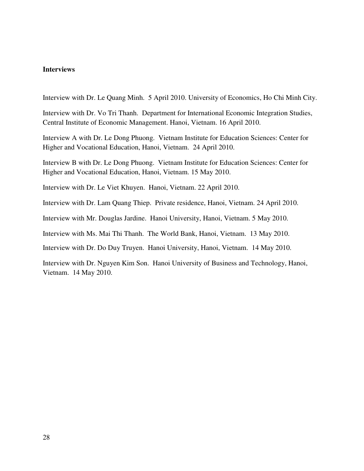## **Interviews**

Interview with Dr. Le Quang Minh. 5 April 2010. University of Economics, Ho Chi Minh City.

Interview with Dr. Vo Tri Thanh. Department for International Economic Integration Studies, Central Institute of Economic Management. Hanoi, Vietnam. 16 April 2010.

Interview A with Dr. Le Dong Phuong. Vietnam Institute for Education Sciences: Center for Higher and Vocational Education, Hanoi, Vietnam. 24 April 2010.

Interview B with Dr. Le Dong Phuong. Vietnam Institute for Education Sciences: Center for Higher and Vocational Education, Hanoi, Vietnam. 15 May 2010.

Interview with Dr. Le Viet Khuyen. Hanoi, Vietnam. 22 April 2010.

Interview with Dr. Lam Quang Thiep. Private residence, Hanoi, Vietnam. 24 April 2010.

Interview with Mr. Douglas Jardine. Hanoi University, Hanoi, Vietnam. 5 May 2010.

Interview with Ms. Mai Thi Thanh. The World Bank, Hanoi, Vietnam. 13 May 2010.

Interview with Dr. Do Duy Truyen. Hanoi University, Hanoi, Vietnam. 14 May 2010.

Interview with Dr. Nguyen Kim Son. Hanoi University of Business and Technology, Hanoi, Vietnam. 14 May 2010.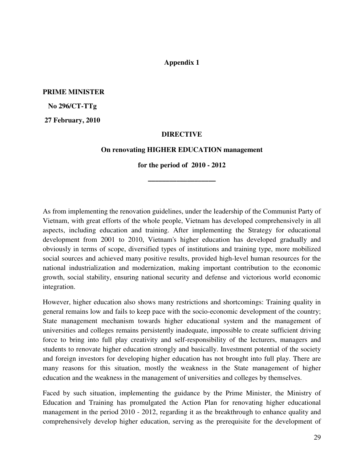## **Appendix 1**

**PRIME MINISTER** 

 **No 296/CT-TTg** 

 **27 February, 2010** 

#### **DIRECTIVE**

#### **On renovating HIGHER EDUCATION management**

**for the period of 2010 - 2012** 

**–––––––––––––––––––** 

As from implementing the renovation guidelines, under the leadership of the Communist Party of Vietnam, with great efforts of the whole people, Vietnam has developed comprehensively in all aspects, including education and training. After implementing the Strategy for educational development from 2001 to 2010, Vietnam's higher education has developed gradually and obviously in terms of scope, diversified types of institutions and training type, more mobilized social sources and achieved many positive results, provided high-level human resources for the national industrialization and modernization, making important contribution to the economic growth, social stability, ensuring national security and defense and victorious world economic integration.

However, higher education also shows many restrictions and shortcomings: Training quality in general remains low and fails to keep pace with the socio-economic development of the country; State management mechanism towards higher educational system and the management of universities and colleges remains persistently inadequate, impossible to create sufficient driving force to bring into full play creativity and self-responsibility of the lecturers, managers and students to renovate higher education strongly and basically. Investment potential of the society and foreign investors for developing higher education has not brought into full play. There are many reasons for this situation, mostly the weakness in the State management of higher education and the weakness in the management of universities and colleges by themselves.

Faced by such situation, implementing the guidance by the Prime Minister, the Ministry of Education and Training has promulgated the Action Plan for renovating higher educational management in the period 2010 - 2012, regarding it as the breakthrough to enhance quality and comprehensively develop higher education, serving as the prerequisite for the development of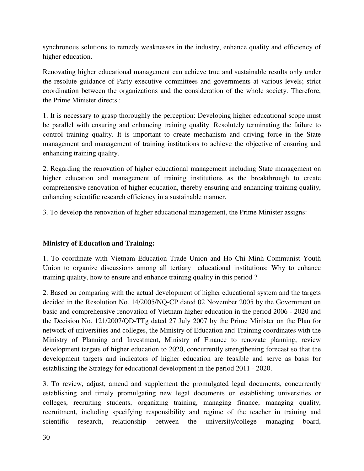synchronous solutions to remedy weaknesses in the industry, enhance quality and efficiency of higher education.

Renovating higher educational management can achieve true and sustainable results only under the resolute guidance of Party executive committees and governments at various levels; strict coordination between the organizations and the consideration of the whole society. Therefore, the Prime Minister directs :

1. It is necessary to grasp thoroughly the perception: Developing higher educational scope must be parallel with ensuring and enhancing training quality. Resolutely terminating the failure to control training quality. It is important to create mechanism and driving force in the State management and management of training institutions to achieve the objective of ensuring and enhancing training quality.

2. Regarding the renovation of higher educational management including State management on higher education and management of training institutions as the breakthrough to create comprehensive renovation of higher education, thereby ensuring and enhancing training quality, enhancing scientific research efficiency in a sustainable manner.

3. To develop the renovation of higher educational management, the Prime Minister assigns:

# **Ministry of Education and Training:**

1. To coordinate with Vietnam Education Trade Union and Ho Chi Minh Communist Youth Union to organize discussions among all tertiary educational institutions: Why to enhance training quality, how to ensure and enhance training quality in this period ?

2. Based on comparing with the actual development of higher educational system and the targets decided in the Resolution No. 14/2005/NQ-CP dated 02 November 2005 by the Government on basic and comprehensive renovation of Vietnam higher education in the period 2006 - 2020 and the Decision No. 121/2007/QD-TTg dated 27 July 2007 by the Prime Minister on the Plan for network of universities and colleges, the Ministry of Education and Training coordinates with the Ministry of Planning and Investment, Ministry of Finance to renovate planning, review development targets of higher education to 2020, concurrently strengthening forecast so that the development targets and indicators of higher education are feasible and serve as basis for establishing the Strategy for educational development in the period 2011 - 2020.

3. To review, adjust, amend and supplement the promulgated legal documents, concurrently establishing and timely promulgating new legal documents on establishing universities or colleges, recruiting students, organizing training, managing finance, managing quality, recruitment, including specifying responsibility and regime of the teacher in training and scientific research, relationship between the university/college managing board,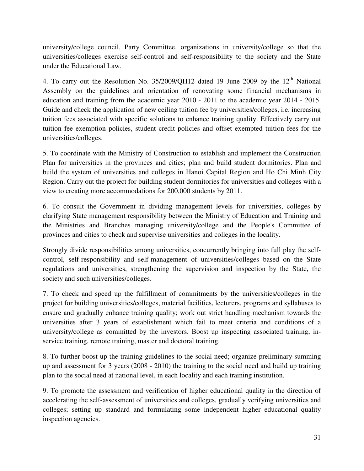university/college council, Party Committee, organizations in university/college so that the universities/colleges exercise self-control and self-responsibility to the society and the State under the Educational Law.

4. To carry out the Resolution No.  $35/2009/QH12$  dated 19 June 2009 by the  $12<sup>th</sup>$  National Assembly on the guidelines and orientation of renovating some financial mechanisms in education and training from the academic year 2010 - 2011 to the academic year 2014 - 2015. Guide and check the application of new ceiling tuition fee by universities/colleges, i.e. increasing tuition fees associated with specific solutions to enhance training quality. Effectively carry out tuition fee exemption policies, student credit policies and offset exempted tuition fees for the universities/colleges.

5. To coordinate with the Ministry of Construction to establish and implement the Construction Plan for universities in the provinces and cities; plan and build student dormitories. Plan and build the system of universities and colleges in Hanoi Capital Region and Ho Chi Minh City Region. Carry out the project for building student dormitories for universities and colleges with a view to creating more accommodations for 200,000 students by 2011.

6. To consult the Government in dividing management levels for universities, colleges by clarifying State management responsibility between the Ministry of Education and Training and the Ministries and Branches managing university/college and the People's Committee of provinces and cities to check and supervise universities and colleges in the locality.

Strongly divide responsibilities among universities, concurrently bringing into full play the selfcontrol, self-responsibility and self-management of universities/colleges based on the State regulations and universities, strengthening the supervision and inspection by the State, the society and such universities/colleges.

7. To check and speed up the fulfillment of commitments by the universities/colleges in the project for building universities/colleges, material facilities, lecturers, programs and syllabuses to ensure and gradually enhance training quality; work out strict handling mechanism towards the universities after 3 years of establishment which fail to meet criteria and conditions of a university/college as committed by the investors. Boost up inspecting associated training, inservice training, remote training, master and doctoral training.

8. To further boost up the training guidelines to the social need; organize preliminary summing up and assessment for 3 years (2008 - 2010) the training to the social need and build up training plan to the social need at national level, in each locality and each training institution.

9. To promote the assessment and verification of higher educational quality in the direction of accelerating the self-assessment of universities and colleges, gradually verifying universities and colleges; setting up standard and formulating some independent higher educational quality inspection agencies.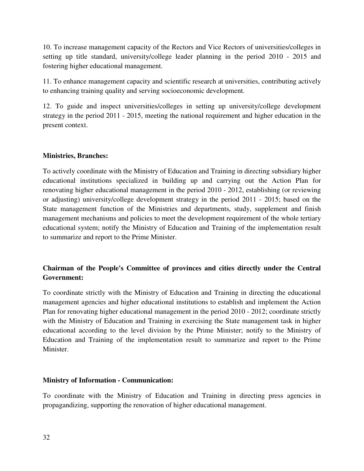10. To increase management capacity of the Rectors and Vice Rectors of universities/colleges in setting up title standard, university/college leader planning in the period 2010 - 2015 and fostering higher educational management.

11. To enhance management capacity and scientific research at universities, contributing actively to enhancing training quality and serving socioeconomic development.

12. To guide and inspect universities/colleges in setting up university/college development strategy in the period 2011 - 2015, meeting the national requirement and higher education in the present context.

# **Ministries, Branches:**

To actively coordinate with the Ministry of Education and Training in directing subsidiary higher educational institutions specialized in building up and carrying out the Action Plan for renovating higher educational management in the period 2010 - 2012, establishing (or reviewing or adjusting) university/college development strategy in the period 2011 - 2015; based on the State management function of the Ministries and departments, study, supplement and finish management mechanisms and policies to meet the development requirement of the whole tertiary educational system; notify the Ministry of Education and Training of the implementation result to summarize and report to the Prime Minister.

# **Chairman of the People's Committee of provinces and cities directly under the Central Government:**

To coordinate strictly with the Ministry of Education and Training in directing the educational management agencies and higher educational institutions to establish and implement the Action Plan for renovating higher educational management in the period 2010 - 2012; coordinate strictly with the Ministry of Education and Training in exercising the State management task in higher educational according to the level division by the Prime Minister; notify to the Ministry of Education and Training of the implementation result to summarize and report to the Prime Minister.

# **Ministry of Information - Communication:**

To coordinate with the Ministry of Education and Training in directing press agencies in propagandizing, supporting the renovation of higher educational management.